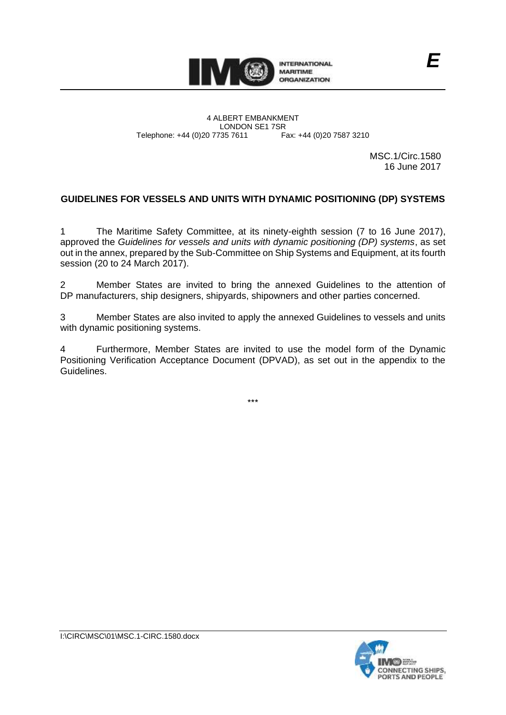

4 ALBERT EMBANKMENT Telephone: +44 (0)20 7735 7611

LONDON SE1 7SR<br>735 7611 Fax: +44 (0)20 7587 3210

MSC.1/Circ.1580 16 June 2017

# **GUIDELINES FOR VESSELS AND UNITS WITH DYNAMIC POSITIONING (DP) SYSTEMS**

1 The Maritime Safety Committee, at its ninety-eighth session (7 to 16 June 2017), approved the *Guidelines for vessels and units with dynamic positioning (DP) systems*, as set out in the annex, prepared by the Sub-Committee on Ship Systems and Equipment, at its fourth session (20 to 24 March 2017).

2 Member States are invited to bring the annexed Guidelines to the attention of DP manufacturers, ship designers, shipyards, shipowners and other parties concerned.

3 Member States are also invited to apply the annexed Guidelines to vessels and units with dynamic positioning systems.

4 Furthermore, Member States are invited to use the model form of the Dynamic Positioning Verification Acceptance Document (DPVAD), as set out in the appendix to the Guidelines.

\*\*\*

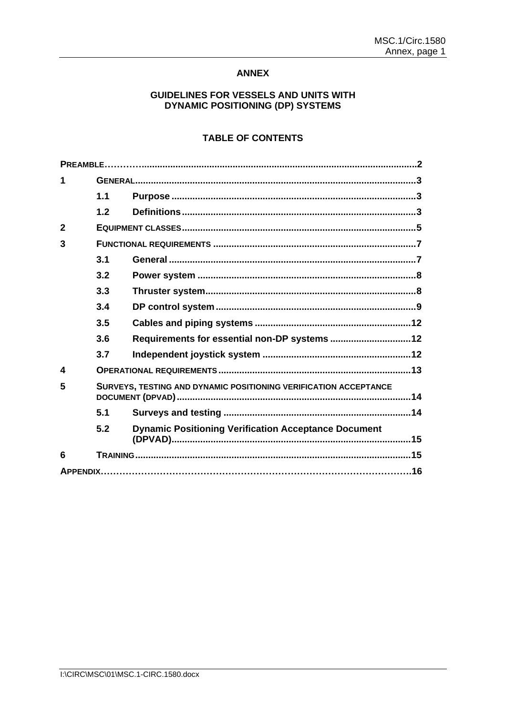### **ANNEX**

### GUIDELINES FOR VESSELS AND UNITS WITH **DYNAMIC POSITIONING (DP) SYSTEMS**

# **TABLE OF CONTENTS**

|                        | 1.1                                                              |                                                             |  |  |  |
|------------------------|------------------------------------------------------------------|-------------------------------------------------------------|--|--|--|
|                        | 1.2                                                              |                                                             |  |  |  |
| $\overline{2}$         |                                                                  |                                                             |  |  |  |
| 3                      |                                                                  |                                                             |  |  |  |
|                        | 3.1                                                              |                                                             |  |  |  |
|                        | 3.2                                                              |                                                             |  |  |  |
|                        | 3.3                                                              |                                                             |  |  |  |
|                        | 3.4                                                              |                                                             |  |  |  |
|                        | 3.5                                                              |                                                             |  |  |  |
|                        | 3.6                                                              | Requirements for essential non-DP systems  12               |  |  |  |
|                        | 3.7                                                              |                                                             |  |  |  |
| $\boldsymbol{\Lambda}$ |                                                                  |                                                             |  |  |  |
| 5                      | SURVEYS, TESTING AND DYNAMIC POSITIONING VERIFICATION ACCEPTANCE |                                                             |  |  |  |
|                        | 5.1                                                              |                                                             |  |  |  |
|                        | 5.2                                                              | <b>Dynamic Positioning Verification Acceptance Document</b> |  |  |  |
| 6                      |                                                                  |                                                             |  |  |  |
|                        |                                                                  |                                                             |  |  |  |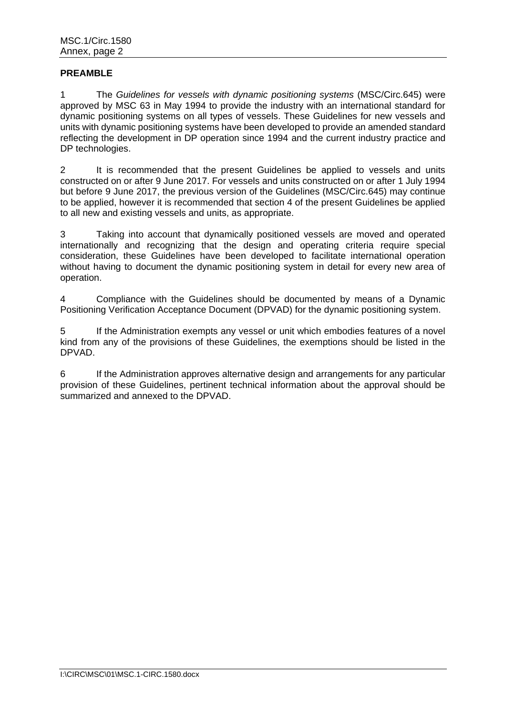## **PREAMBLE**

1 The *Guidelines for vessels with dynamic positioning systems* (MSC/Circ.645) were approved by MSC 63 in May 1994 to provide the industry with an international standard for dynamic positioning systems on all types of vessels. These Guidelines for new vessels and units with dynamic positioning systems have been developed to provide an amended standard reflecting the development in DP operation since 1994 and the current industry practice and DP technologies.

2 It is recommended that the present Guidelines be applied to vessels and units constructed on or after 9 June 2017. For vessels and units constructed on or after 1 July 1994 but before 9 June 2017, the previous version of the Guidelines (MSC/Circ.645) may continue to be applied, however it is recommended that section 4 of the present Guidelines be applied to all new and existing vessels and units, as appropriate.

3 Taking into account that dynamically positioned vessels are moved and operated internationally and recognizing that the design and operating criteria require special consideration, these Guidelines have been developed to facilitate international operation without having to document the dynamic positioning system in detail for every new area of operation.

4 Compliance with the Guidelines should be documented by means of a Dynamic Positioning Verification Acceptance Document (DPVAD) for the dynamic positioning system.

5 If the Administration exempts any vessel or unit which embodies features of a novel kind from any of the provisions of these Guidelines, the exemptions should be listed in the DPVAD.

6 If the Administration approves alternative design and arrangements for any particular provision of these Guidelines, pertinent technical information about the approval should be summarized and annexed to the DPVAD.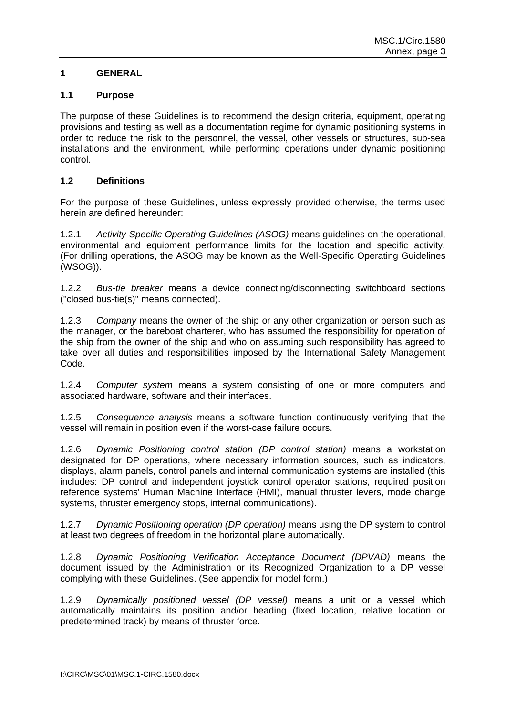## **1 GENERAL**

### **1.1 Purpose**

The purpose of these Guidelines is to recommend the design criteria, equipment, operating provisions and testing as well as a documentation regime for dynamic positioning systems in order to reduce the risk to the personnel, the vessel, other vessels or structures, sub-sea installations and the environment, while performing operations under dynamic positioning control.

## **1.2 Definitions**

For the purpose of these Guidelines, unless expressly provided otherwise, the terms used herein are defined hereunder:

1.2.1 *Activity-Specific Operating Guidelines (ASOG)* means guidelines on the operational, environmental and equipment performance limits for the location and specific activity. (For drilling operations, the ASOG may be known as the Well-Specific Operating Guidelines (WSOG)).

1.2.2 *Bus-tie breaker* means a device connecting/disconnecting switchboard sections ("closed bus-tie(s)" means connected).

1.2.3 *Company* means the owner of the ship or any other organization or person such as the manager, or the bareboat charterer, who has assumed the responsibility for operation of the ship from the owner of the ship and who on assuming such responsibility has agreed to take over all duties and responsibilities imposed by the International Safety Management Code.

1.2.4 *Computer system* means a system consisting of one or more computers and associated hardware, software and their interfaces.

1.2.5 *Consequence analysis* means a software function continuously verifying that the vessel will remain in position even if the worst-case failure occurs.

1.2.6 *Dynamic Positioning control station (DP control station)* means a workstation designated for DP operations, where necessary information sources, such as indicators, displays, alarm panels, control panels and internal communication systems are installed (this includes: DP control and independent joystick control operator stations, required position reference systems' Human Machine Interface (HMI), manual thruster levers, mode change systems, thruster emergency stops, internal communications).

1.2.7 *Dynamic Positioning operation (DP operation)* means using the DP system to control at least two degrees of freedom in the horizontal plane automatically*.*

1.2.8 *Dynamic Positioning Verification Acceptance Document (DPVAD)* means the document issued by the Administration or its Recognized Organization to a DP vessel complying with these Guidelines. (See appendix for model form.)

1.2.9 *Dynamically positioned vessel (DP vessel)* means a unit or a vessel which automatically maintains its position and/or heading (fixed location, relative location or predetermined track) by means of thruster force.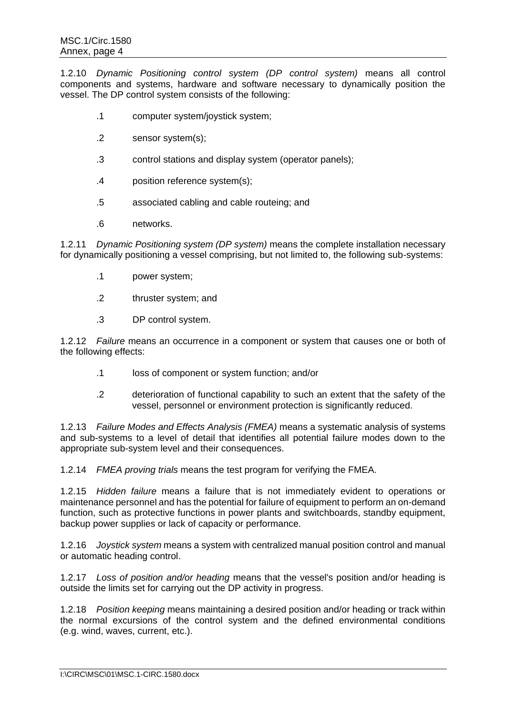1.2.10 *Dynamic Positioning control system (DP control system)* means all control components and systems, hardware and software necessary to dynamically position the vessel. The DP control system consists of the following:

- .1 computer system/joystick system;
- .2 sensor system(s);
- .3 control stations and display system (operator panels);
- .4 position reference system(s);
- .5 associated cabling and cable routeing; and
- .6 networks.

1.2.11 *Dynamic Positioning system (DP system)* means the complete installation necessary for dynamically positioning a vessel comprising, but not limited to, the following sub-systems:

- .1 power system;
- .2 thruster system; and
- .3 DP control system.

1.2.12 *Failure* means an occurrence in a component or system that causes one or both of the following effects:

- .1 loss of component or system function; and/or
- .2 deterioration of functional capability to such an extent that the safety of the vessel, personnel or environment protection is significantly reduced.

1.2.13 *Failure Modes and Effects Analysis (FMEA)* means a systematic analysis of systems and sub-systems to a level of detail that identifies all potential failure modes down to the appropriate sub-system level and their consequences.

1.2.14 *FMEA proving trials* means the test program for verifying the FMEA.

1.2.15 *Hidden failure* means a failure that is not immediately evident to operations or maintenance personnel and has the potential for failure of equipment to perform an on-demand function, such as protective functions in power plants and switchboards, standby equipment, backup power supplies or lack of capacity or performance.

1.2.16 *Joystick system* means a system with centralized manual position control and manual or automatic heading control.

1.2.17 *Loss of position and/or heading* means that the vessel's position and/or heading is outside the limits set for carrying out the DP activity in progress.

1.2.18 *Position keeping* means maintaining a desired position and/or heading or track within the normal excursions of the control system and the defined environmental conditions (e.g. wind, waves, current, etc.).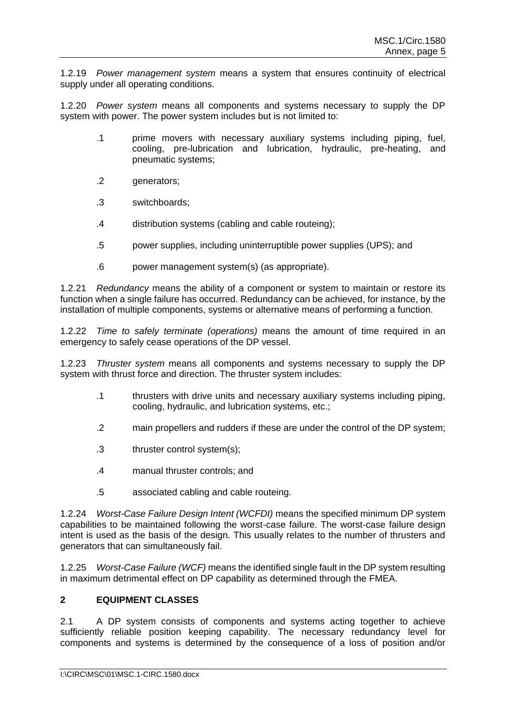1.2.19 *Power management system* means a system that ensures continuity of electrical supply under all operating conditions.

1.2.20 *Power system* means all components and systems necessary to supply the DP system with power. The power system includes but is not limited to:

- .1 prime movers with necessary auxiliary systems including piping, fuel, cooling, pre-lubrication and lubrication, hydraulic, pre-heating, and pneumatic systems;
- .2 generators;
- .3 switchboards;
- .4 distribution systems (cabling and cable routeing);
- .5 power supplies, including uninterruptible power supplies (UPS); and
- .6 power management system(s) (as appropriate).

1.2.21 *Redundancy* means the ability of a component or system to maintain or restore its function when a single failure has occurred. Redundancy can be achieved, for instance, by the installation of multiple components, systems or alternative means of performing a function.

1.2.22 *Time to safely terminate (operations)* means the amount of time required in an emergency to safely cease operations of the DP vessel.

1.2.23 *Thruster system* means all components and systems necessary to supply the DP system with thrust force and direction. The thruster system includes:

- .1 thrusters with drive units and necessary auxiliary systems including piping, cooling, hydraulic, and lubrication systems, etc.;
- .2 main propellers and rudders if these are under the control of the DP system;
- .3 thruster control system(s);
- .4 manual thruster controls; and
- .5 associated cabling and cable routeing.

1.2.24 *Worst-Case Failure Design Intent (WCFDI)* means the specified minimum DP system capabilities to be maintained following the worst-case failure. The worst-case failure design intent is used as the basis of the design. This usually relates to the number of thrusters and generators that can simultaneously fail.

1.2.25 *Worst-Case Failure (WCF)* means the identified single fault in the DP system resulting in maximum detrimental effect on DP capability as determined through the FMEA.

### **2 EQUIPMENT CLASSES**

2.1 A DP system consists of components and systems acting together to achieve sufficiently reliable position keeping capability. The necessary redundancy level for components and systems is determined by the consequence of a loss of position and/or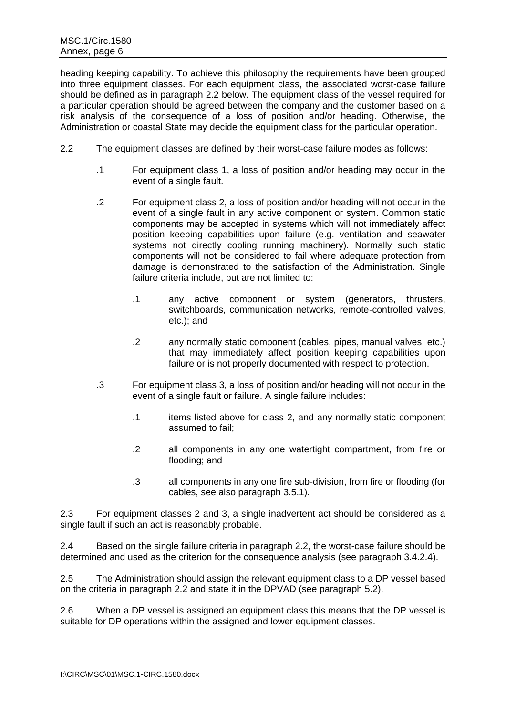heading keeping capability. To achieve this philosophy the requirements have been grouped into three equipment classes. For each equipment class, the associated worst-case failure should be defined as in paragraph 2.2 below. The equipment class of the vessel required for a particular operation should be agreed between the company and the customer based on a risk analysis of the consequence of a loss of position and/or heading. Otherwise, the Administration or coastal State may decide the equipment class for the particular operation.

- 2.2 The equipment classes are defined by their worst-case failure modes as follows:
	- .1 For equipment class 1, a loss of position and/or heading may occur in the event of a single fault.
	- .2 For equipment class 2, a loss of position and/or heading will not occur in the event of a single fault in any active component or system. Common static components may be accepted in systems which will not immediately affect position keeping capabilities upon failure (e.g. ventilation and seawater systems not directly cooling running machinery). Normally such static components will not be considered to fail where adequate protection from damage is demonstrated to the satisfaction of the Administration. Single failure criteria include, but are not limited to:
		- .1 any active component or system (generators, thrusters, switchboards, communication networks, remote-controlled valves, etc.); and
		- .2 any normally static component (cables, pipes, manual valves, etc.) that may immediately affect position keeping capabilities upon failure or is not properly documented with respect to protection.
	- .3 For equipment class 3, a loss of position and/or heading will not occur in the event of a single fault or failure. A single failure includes:
		- .1 items listed above for class 2, and any normally static component assumed to fail;
		- .2 all components in any one watertight compartment, from fire or flooding; and
		- .3 all components in any one fire sub-division, from fire or flooding (for cables, see also paragraph 3.5.1).

2.3 For equipment classes 2 and 3, a single inadvertent act should be considered as a single fault if such an act is reasonably probable.

2.4 Based on the single failure criteria in paragraph 2.2, the worst-case failure should be determined and used as the criterion for the consequence analysis (see paragraph 3.4.2.4).

2.5 The Administration should assign the relevant equipment class to a DP vessel based on the criteria in paragraph 2.2 and state it in the DPVAD (see paragraph 5.2).

2.6 When a DP vessel is assigned an equipment class this means that the DP vessel is suitable for DP operations within the assigned and lower equipment classes.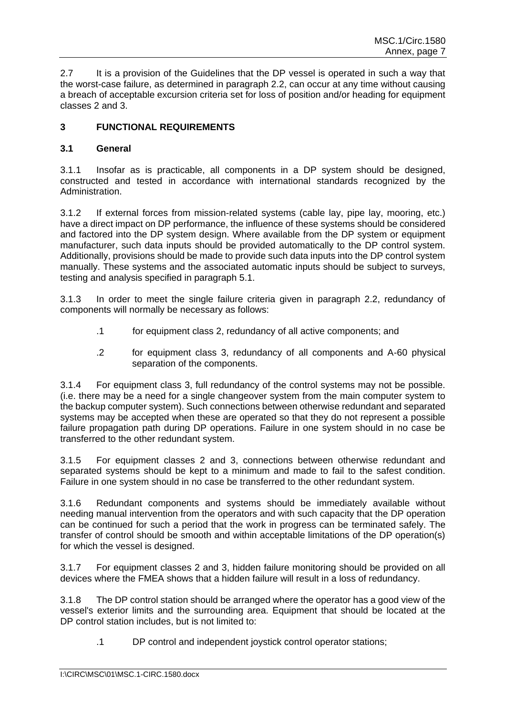2.7 It is a provision of the Guidelines that the DP vessel is operated in such a way that the worst-case failure, as determined in paragraph 2.2, can occur at any time without causing a breach of acceptable excursion criteria set for loss of position and/or heading for equipment classes 2 and 3.

## **3 FUNCTIONAL REQUIREMENTS**

### **3.1 General**

3.1.1 Insofar as is practicable, all components in a DP system should be designed, constructed and tested in accordance with international standards recognized by the Administration.

3.1.2 If external forces from mission-related systems (cable lay, pipe lay, mooring, etc.) have a direct impact on DP performance, the influence of these systems should be considered and factored into the DP system design. Where available from the DP system or equipment manufacturer, such data inputs should be provided automatically to the DP control system. Additionally, provisions should be made to provide such data inputs into the DP control system manually. These systems and the associated automatic inputs should be subject to surveys, testing and analysis specified in paragraph 5.1.

3.1.3 In order to meet the single failure criteria given in paragraph 2.2, redundancy of components will normally be necessary as follows:

- .1 for equipment class 2, redundancy of all active components; and
- .2 for equipment class 3, redundancy of all components and A-60 physical separation of the components.

3.1.4 For equipment class 3, full redundancy of the control systems may not be possible. (i.e. there may be a need for a single changeover system from the main computer system to the backup computer system). Such connections between otherwise redundant and separated systems may be accepted when these are operated so that they do not represent a possible failure propagation path during DP operations. Failure in one system should in no case be transferred to the other redundant system.

3.1.5 For equipment classes 2 and 3, connections between otherwise redundant and separated systems should be kept to a minimum and made to fail to the safest condition. Failure in one system should in no case be transferred to the other redundant system.

3.1.6 Redundant components and systems should be immediately available without needing manual intervention from the operators and with such capacity that the DP operation can be continued for such a period that the work in progress can be terminated safely. The transfer of control should be smooth and within acceptable limitations of the DP operation(s) for which the vessel is designed.

3.1.7 For equipment classes 2 and 3, hidden failure monitoring should be provided on all devices where the FMEA shows that a hidden failure will result in a loss of redundancy.

3.1.8 The DP control station should be arranged where the operator has a good view of the vessel's exterior limits and the surrounding area. Equipment that should be located at the DP control station includes, but is not limited to:

.1 DP control and independent joystick control operator stations;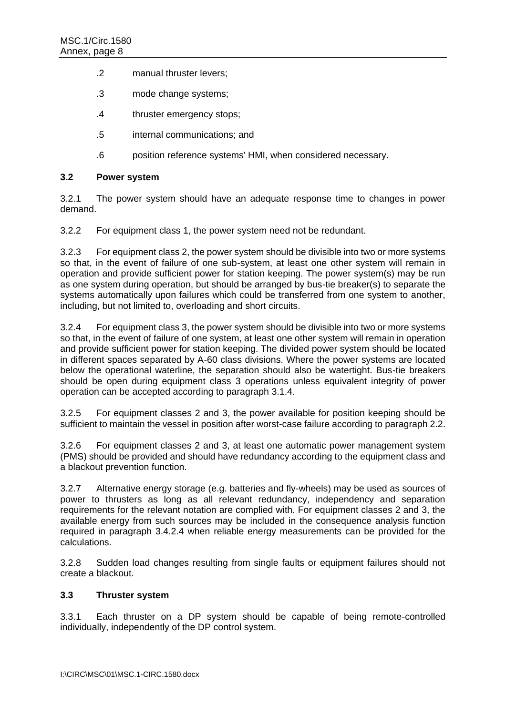- .2 manual thruster levers;
- .3 mode change systems;
- .4 thruster emergency stops;
- .5 internal communications; and
- .6 position reference systems' HMI, when considered necessary.

#### **3.2 Power system**

3.2.1 The power system should have an adequate response time to changes in power demand.

3.2.2 For equipment class 1, the power system need not be redundant.

3.2.3 For equipment class 2, the power system should be divisible into two or more systems so that, in the event of failure of one sub-system, at least one other system will remain in operation and provide sufficient power for station keeping. The power system(s) may be run as one system during operation, but should be arranged by bus-tie breaker(s) to separate the systems automatically upon failures which could be transferred from one system to another, including, but not limited to, overloading and short circuits.

3.2.4 For equipment class 3, the power system should be divisible into two or more systems so that, in the event of failure of one system, at least one other system will remain in operation and provide sufficient power for station keeping. The divided power system should be located in different spaces separated by A-60 class divisions. Where the power systems are located below the operational waterline, the separation should also be watertight. Bus-tie breakers should be open during equipment class 3 operations unless equivalent integrity of power operation can be accepted according to paragraph 3.1.4.

3.2.5 For equipment classes 2 and 3, the power available for position keeping should be sufficient to maintain the vessel in position after worst-case failure according to paragraph 2.2.

3.2.6 For equipment classes 2 and 3, at least one automatic power management system (PMS) should be provided and should have redundancy according to the equipment class and a blackout prevention function.

3.2.7 Alternative energy storage (e.g. batteries and fly-wheels) may be used as sources of power to thrusters as long as all relevant redundancy, independency and separation requirements for the relevant notation are complied with. For equipment classes 2 and 3, the available energy from such sources may be included in the consequence analysis function required in paragraph 3.4.2.4 when reliable energy measurements can be provided for the calculations.

3.2.8 Sudden load changes resulting from single faults or equipment failures should not create a blackout.

### **3.3 Thruster system**

3.3.1 Each thruster on a DP system should be capable of being remote-controlled individually, independently of the DP control system.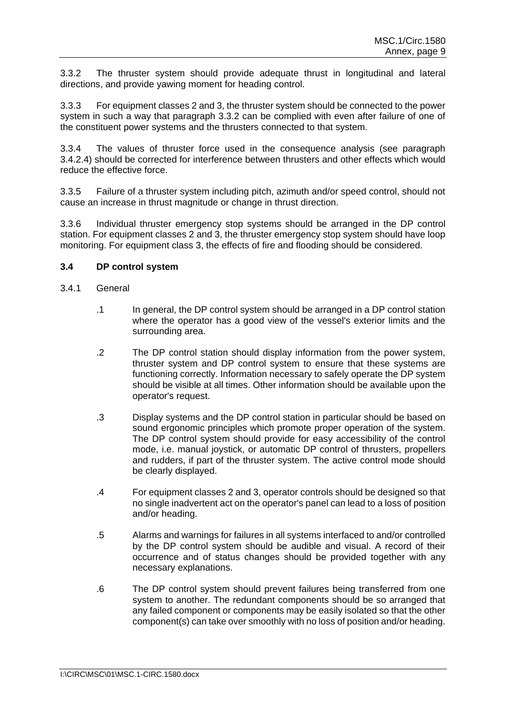3.3.2 The thruster system should provide adequate thrust in longitudinal and lateral directions, and provide yawing moment for heading control.

3.3.3 For equipment classes 2 and 3, the thruster system should be connected to the power system in such a way that paragraph 3.3.2 can be complied with even after failure of one of the constituent power systems and the thrusters connected to that system.

3.3.4 The values of thruster force used in the consequence analysis (see paragraph 3.4.2.4) should be corrected for interference between thrusters and other effects which would reduce the effective force.

3.3.5 Failure of a thruster system including pitch, azimuth and/or speed control, should not cause an increase in thrust magnitude or change in thrust direction.

3.3.6 Individual thruster emergency stop systems should be arranged in the DP control station. For equipment classes 2 and 3, the thruster emergency stop system should have loop monitoring. For equipment class 3, the effects of fire and flooding should be considered.

#### **3.4 DP control system**

- 3.4.1 General
	- .1 In general, the DP control system should be arranged in a DP control station where the operator has a good view of the vessel's exterior limits and the surrounding area.
	- .2 The DP control station should display information from the power system, thruster system and DP control system to ensure that these systems are functioning correctly. Information necessary to safely operate the DP system should be visible at all times. Other information should be available upon the operator's request.
	- .3 Display systems and the DP control station in particular should be based on sound ergonomic principles which promote proper operation of the system. The DP control system should provide for easy accessibility of the control mode, i.e. manual joystick, or automatic DP control of thrusters, propellers and rudders, if part of the thruster system. The active control mode should be clearly displayed.
	- .4 For equipment classes 2 and 3, operator controls should be designed so that no single inadvertent act on the operator's panel can lead to a loss of position and/or heading.
	- .5 Alarms and warnings for failures in all systems interfaced to and/or controlled by the DP control system should be audible and visual. A record of their occurrence and of status changes should be provided together with any necessary explanations.
	- .6 The DP control system should prevent failures being transferred from one system to another. The redundant components should be so arranged that any failed component or components may be easily isolated so that the other component(s) can take over smoothly with no loss of position and/or heading.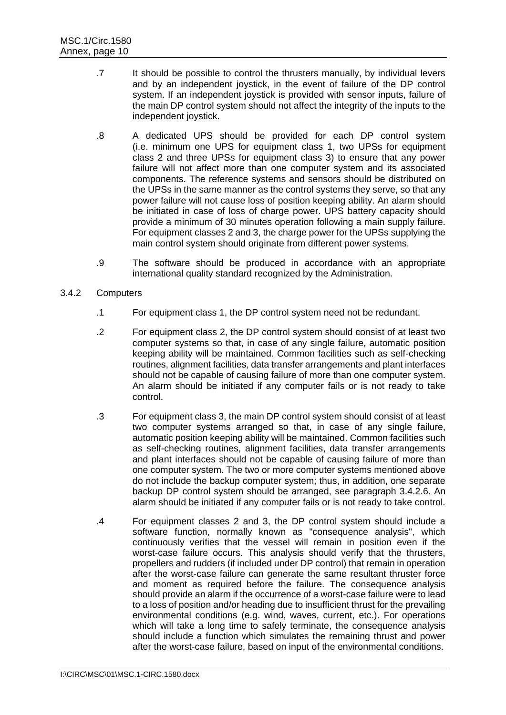- .7 It should be possible to control the thrusters manually, by individual levers and by an independent joystick, in the event of failure of the DP control system. If an independent joystick is provided with sensor inputs, failure of the main DP control system should not affect the integrity of the inputs to the independent joystick.
- .8 A dedicated UPS should be provided for each DP control system (i.e. minimum one UPS for equipment class 1, two UPSs for equipment class 2 and three UPSs for equipment class 3) to ensure that any power failure will not affect more than one computer system and its associated components. The reference systems and sensors should be distributed on the UPSs in the same manner as the control systems they serve, so that any power failure will not cause loss of position keeping ability. An alarm should be initiated in case of loss of charge power. UPS battery capacity should provide a minimum of 30 minutes operation following a main supply failure. For equipment classes 2 and 3, the charge power for the UPSs supplying the main control system should originate from different power systems.
- .9 The software should be produced in accordance with an appropriate international quality standard recognized by the Administration.

### 3.4.2 Computers

- .1 For equipment class 1, the DP control system need not be redundant.
- .2 For equipment class 2, the DP control system should consist of at least two computer systems so that, in case of any single failure, automatic position keeping ability will be maintained. Common facilities such as self-checking routines, alignment facilities, data transfer arrangements and plant interfaces should not be capable of causing failure of more than one computer system. An alarm should be initiated if any computer fails or is not ready to take control.
- .3 For equipment class 3, the main DP control system should consist of at least two computer systems arranged so that, in case of any single failure, automatic position keeping ability will be maintained. Common facilities such as self-checking routines, alignment facilities, data transfer arrangements and plant interfaces should not be capable of causing failure of more than one computer system. The two or more computer systems mentioned above do not include the backup computer system; thus, in addition, one separate backup DP control system should be arranged, see paragraph 3.4.2.6. An alarm should be initiated if any computer fails or is not ready to take control.
- .4 For equipment classes 2 and 3, the DP control system should include a software function, normally known as "consequence analysis", which continuously verifies that the vessel will remain in position even if the worst-case failure occurs. This analysis should verify that the thrusters, propellers and rudders (if included under DP control) that remain in operation after the worst-case failure can generate the same resultant thruster force and moment as required before the failure. The consequence analysis should provide an alarm if the occurrence of a worst-case failure were to lead to a loss of position and/or heading due to insufficient thrust for the prevailing environmental conditions (e.g. wind, waves, current, etc.). For operations which will take a long time to safely terminate, the consequence analysis should include a function which simulates the remaining thrust and power after the worst-case failure, based on input of the environmental conditions.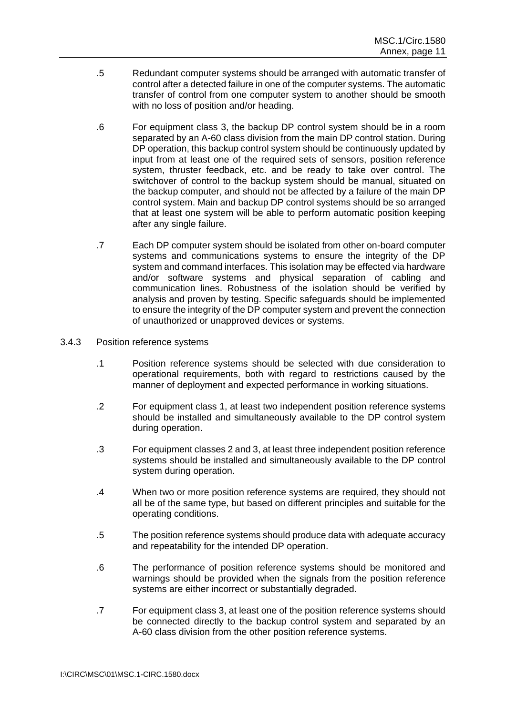- .5 Redundant computer systems should be arranged with automatic transfer of control after a detected failure in one of the computer systems. The automatic transfer of control from one computer system to another should be smooth with no loss of position and/or heading.
- .6 For equipment class 3, the backup DP control system should be in a room separated by an A-60 class division from the main DP control station. During DP operation, this backup control system should be continuously updated by input from at least one of the required sets of sensors, position reference system, thruster feedback, etc. and be ready to take over control. The switchover of control to the backup system should be manual, situated on the backup computer, and should not be affected by a failure of the main DP control system. Main and backup DP control systems should be so arranged that at least one system will be able to perform automatic position keeping after any single failure.
- .7 Each DP computer system should be isolated from other on-board computer systems and communications systems to ensure the integrity of the DP system and command interfaces. This isolation may be effected via hardware and/or software systems and physical separation of cabling and communication lines. Robustness of the isolation should be verified by analysis and proven by testing. Specific safeguards should be implemented to ensure the integrity of the DP computer system and prevent the connection of unauthorized or unapproved devices or systems.
- 3.4.3 Position reference systems
	- .1 Position reference systems should be selected with due consideration to operational requirements, both with regard to restrictions caused by the manner of deployment and expected performance in working situations.
	- .2 For equipment class 1, at least two independent position reference systems should be installed and simultaneously available to the DP control system during operation.
	- .3 For equipment classes 2 and 3, at least three independent position reference systems should be installed and simultaneously available to the DP control system during operation.
	- .4 When two or more position reference systems are required, they should not all be of the same type, but based on different principles and suitable for the operating conditions.
	- .5 The position reference systems should produce data with adequate accuracy and repeatability for the intended DP operation.
	- .6 The performance of position reference systems should be monitored and warnings should be provided when the signals from the position reference systems are either incorrect or substantially degraded.
	- .7 For equipment class 3, at least one of the position reference systems should be connected directly to the backup control system and separated by an A-60 class division from the other position reference systems.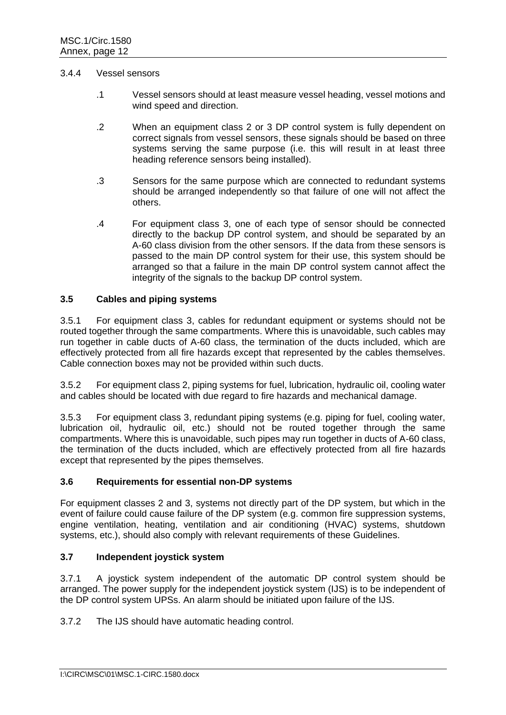#### 3.4.4 Vessel sensors

- .1 Vessel sensors should at least measure vessel heading, vessel motions and wind speed and direction.
- .2 When an equipment class 2 or 3 DP control system is fully dependent on correct signals from vessel sensors, these signals should be based on three systems serving the same purpose (i.e. this will result in at least three heading reference sensors being installed).
- .3 Sensors for the same purpose which are connected to redundant systems should be arranged independently so that failure of one will not affect the others.
- .4 For equipment class 3, one of each type of sensor should be connected directly to the backup DP control system, and should be separated by an A-60 class division from the other sensors. If the data from these sensors is passed to the main DP control system for their use, this system should be arranged so that a failure in the main DP control system cannot affect the integrity of the signals to the backup DP control system.

#### **3.5 Cables and piping systems**

3.5.1 For equipment class 3, cables for redundant equipment or systems should not be routed together through the same compartments. Where this is unavoidable, such cables may run together in cable ducts of A-60 class, the termination of the ducts included, which are effectively protected from all fire hazards except that represented by the cables themselves. Cable connection boxes may not be provided within such ducts.

3.5.2 For equipment class 2, piping systems for fuel, lubrication, hydraulic oil, cooling water and cables should be located with due regard to fire hazards and mechanical damage.

3.5.3 For equipment class 3, redundant piping systems (e.g. piping for fuel, cooling water, lubrication oil, hydraulic oil, etc.) should not be routed together through the same compartments. Where this is unavoidable, such pipes may run together in ducts of A-60 class, the termination of the ducts included, which are effectively protected from all fire hazards except that represented by the pipes themselves.

### **3.6 Requirements for essential non-DP systems**

For equipment classes 2 and 3, systems not directly part of the DP system, but which in the event of failure could cause failure of the DP system (e.g. common fire suppression systems, engine ventilation, heating, ventilation and air conditioning (HVAC) systems, shutdown systems, etc.), should also comply with relevant requirements of these Guidelines.

## **3.7 Independent joystick system**

3.7.1 A joystick system independent of the automatic DP control system should be arranged. The power supply for the independent joystick system (IJS) is to be independent of the DP control system UPSs. An alarm should be initiated upon failure of the IJS.

3.7.2 The IJS should have automatic heading control.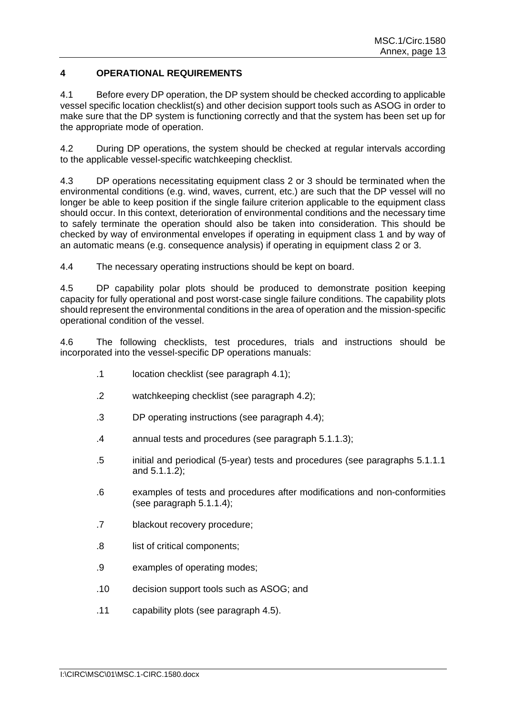## **4 OPERATIONAL REQUIREMENTS**

4.1 Before every DP operation, the DP system should be checked according to applicable vessel specific location checklist(s) and other decision support tools such as ASOG in order to make sure that the DP system is functioning correctly and that the system has been set up for the appropriate mode of operation.

4.2 During DP operations, the system should be checked at regular intervals according to the applicable vessel-specific watchkeeping checklist.

4.3 DP operations necessitating equipment class 2 or 3 should be terminated when the environmental conditions (e.g. wind, waves, current, etc.) are such that the DP vessel will no longer be able to keep position if the single failure criterion applicable to the equipment class should occur. In this context, deterioration of environmental conditions and the necessary time to safely terminate the operation should also be taken into consideration. This should be checked by way of environmental envelopes if operating in equipment class 1 and by way of an automatic means (e.g. consequence analysis) if operating in equipment class 2 or 3.

4.4 The necessary operating instructions should be kept on board.

4.5 DP capability polar plots should be produced to demonstrate position keeping capacity for fully operational and post worst-case single failure conditions. The capability plots should represent the environmental conditions in the area of operation and the mission-specific operational condition of the vessel.

4.6 The following checklists, test procedures, trials and instructions should be incorporated into the vessel-specific DP operations manuals:

- .1 location checklist (see paragraph 4.1);
- .2 watchkeeping checklist (see paragraph 4.2);
- .3 DP operating instructions (see paragraph 4.4);
- .4 annual tests and procedures (see paragraph 5.1.1.3);
- .5 initial and periodical (5-year) tests and procedures (see paragraphs 5.1.1.1 and 5.1.1.2);
- .6 examples of tests and procedures after modifications and non-conformities (see paragraph 5.1.1.4);
- .7 blackout recovery procedure;
- .8 list of critical components;
- .9 examples of operating modes;
- .10 decision support tools such as ASOG; and
- .11 capability plots (see paragraph 4.5).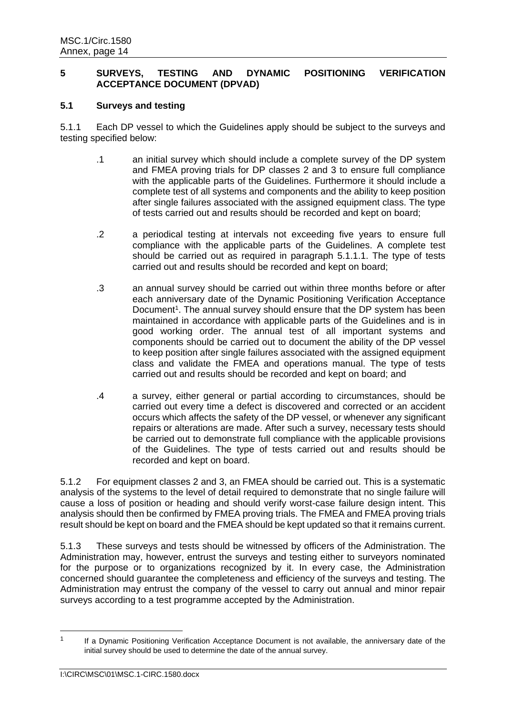### **5 SURVEYS, TESTING AND DYNAMIC POSITIONING VERIFICATION ACCEPTANCE DOCUMENT (DPVAD)**

### **5.1 Surveys and testing**

5.1.1 Each DP vessel to which the Guidelines apply should be subject to the surveys and testing specified below:

- .1 an initial survey which should include a complete survey of the DP system and FMEA proving trials for DP classes 2 and 3 to ensure full compliance with the applicable parts of the Guidelines. Furthermore it should include a complete test of all systems and components and the ability to keep position after single failures associated with the assigned equipment class. The type of tests carried out and results should be recorded and kept on board;
- .2 a periodical testing at intervals not exceeding five years to ensure full compliance with the applicable parts of the Guidelines. A complete test should be carried out as required in paragraph 5.1.1.1. The type of tests carried out and results should be recorded and kept on board;
- .3 an annual survey should be carried out within three months before or after each anniversary date of the Dynamic Positioning Verification Acceptance Document<sup>1</sup>. The annual survey should ensure that the DP system has been maintained in accordance with applicable parts of the Guidelines and is in good working order. The annual test of all important systems and components should be carried out to document the ability of the DP vessel to keep position after single failures associated with the assigned equipment class and validate the FMEA and operations manual. The type of tests carried out and results should be recorded and kept on board; and
- .4 a survey, either general or partial according to circumstances, should be carried out every time a defect is discovered and corrected or an accident occurs which affects the safety of the DP vessel, or whenever any significant repairs or alterations are made. After such a survey, necessary tests should be carried out to demonstrate full compliance with the applicable provisions of the Guidelines. The type of tests carried out and results should be recorded and kept on board.

5.1.2 For equipment classes 2 and 3, an FMEA should be carried out. This is a systematic analysis of the systems to the level of detail required to demonstrate that no single failure will cause a loss of position or heading and should verify worst-case failure design intent. This analysis should then be confirmed by FMEA proving trials. The FMEA and FMEA proving trials result should be kept on board and the FMEA should be kept updated so that it remains current.

5.1.3 These surveys and tests should be witnessed by officers of the Administration. The Administration may, however, entrust the surveys and testing either to surveyors nominated for the purpose or to organizations recognized by it. In every case, the Administration concerned should guarantee the completeness and efficiency of the surveys and testing. The Administration may entrust the company of the vessel to carry out annual and minor repair surveys according to a test programme accepted by the Administration.

-

<sup>1</sup> If a Dynamic Positioning Verification Acceptance Document is not available, the anniversary date of the initial survey should be used to determine the date of the annual survey.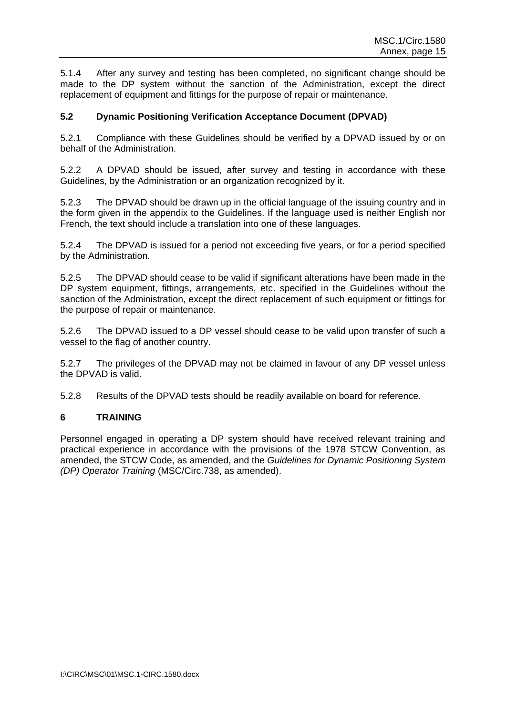5.1.4 After any survey and testing has been completed, no significant change should be made to the DP system without the sanction of the Administration, except the direct replacement of equipment and fittings for the purpose of repair or maintenance.

## **5.2 Dynamic Positioning Verification Acceptance Document (DPVAD)**

5.2.1 Compliance with these Guidelines should be verified by a DPVAD issued by or on behalf of the Administration.

5.2.2 A DPVAD should be issued, after survey and testing in accordance with these Guidelines, by the Administration or an organization recognized by it.

5.2.3 The DPVAD should be drawn up in the official language of the issuing country and in the form given in the appendix to the Guidelines. If the language used is neither English nor French, the text should include a translation into one of these languages.

5.2.4 The DPVAD is issued for a period not exceeding five years, or for a period specified by the Administration.

5.2.5 The DPVAD should cease to be valid if significant alterations have been made in the DP system equipment, fittings, arrangements, etc. specified in the Guidelines without the sanction of the Administration, except the direct replacement of such equipment or fittings for the purpose of repair or maintenance.

5.2.6 The DPVAD issued to a DP vessel should cease to be valid upon transfer of such a vessel to the flag of another country.

5.2.7 The privileges of the DPVAD may not be claimed in favour of any DP vessel unless the DPVAD is valid.

5.2.8 Results of the DPVAD tests should be readily available on board for reference.

### **6 TRAINING**

Personnel engaged in operating a DP system should have received relevant training and practical experience in accordance with the provisions of the 1978 STCW Convention, as amended, the STCW Code, as amended, and the *Guidelines for Dynamic Positioning System (DP) Operator Training* (MSC/Circ.738, as amended).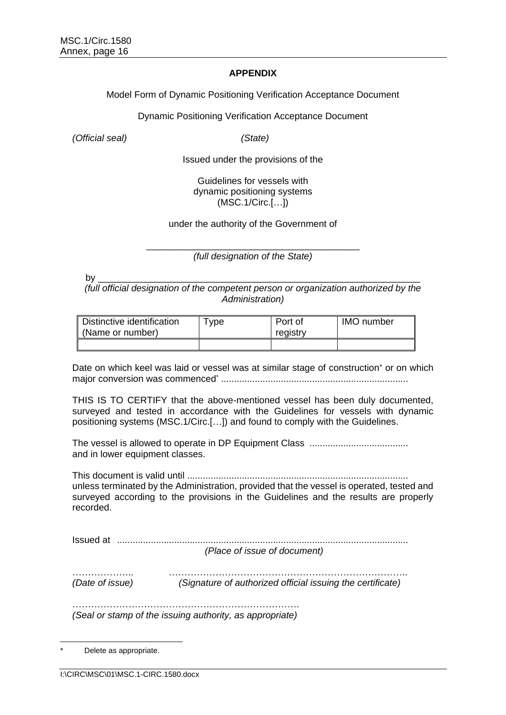### **APPENDIX**

Model Form of Dynamic Positioning Verification Acceptance Document

Dynamic Positioning Verification Acceptance Document

*(Official seal) (State)*

Issued under the provisions of the

### Guidelines for vessels with dynamic positioning systems (MSC.1/Circ.[…])

under the authority of the Government of

\_\_\_\_\_\_\_\_\_\_\_\_\_\_\_\_\_\_\_\_\_\_\_\_\_\_\_\_\_\_\_\_\_\_\_\_\_\_\_\_\_ *(full designation of the State)*

by \_\_\_\_\_\_\_\_\_\_\_\_\_\_\_\_\_\_\_\_\_\_\_\_\_\_\_\_\_\_\_\_\_\_\_\_\_\_\_\_\_\_\_\_\_\_\_\_\_\_\_\_\_\_\_\_\_\_\_\_\_\_

*(full official designation of the competent person or organization authorized by the Administration)*

| Distinctive identification<br>∥ (Name or number) | vpe | Port of<br>registry | <b>IMO</b> number |
|--------------------------------------------------|-----|---------------------|-------------------|
|                                                  |     |                     |                   |

Date on which keel was laid or vessel was at similar stage of construction<sup>\*</sup> or on which major conversion was commenced\* ........................................................................

THIS IS TO CERTIFY that the above-mentioned vessel has been duly documented, surveyed and tested in accordance with the Guidelines for vessels with dynamic positioning systems (MSC.1/Circ.[…]) and found to comply with the Guidelines.

The vessel is allowed to operate in DP Equipment Class ...................................... and in lower equipment classes.

This document is valid until ..................................................................................... unless terminated by the Administration, provided that the vessel is operated, tested and surveyed according to the provisions in the Guidelines and the results are properly recorded.

Issued at ................................................................................................................

*(Place of issue of document)*

……………….. ………………………………………………………………….. *(Date of issue) (Signature of authorized official issuing the certificate)*

………………………………………………………………. *(Seal or stamp of the issuing authority, as appropriate)*

<sup>-</sup>Delete as appropriate.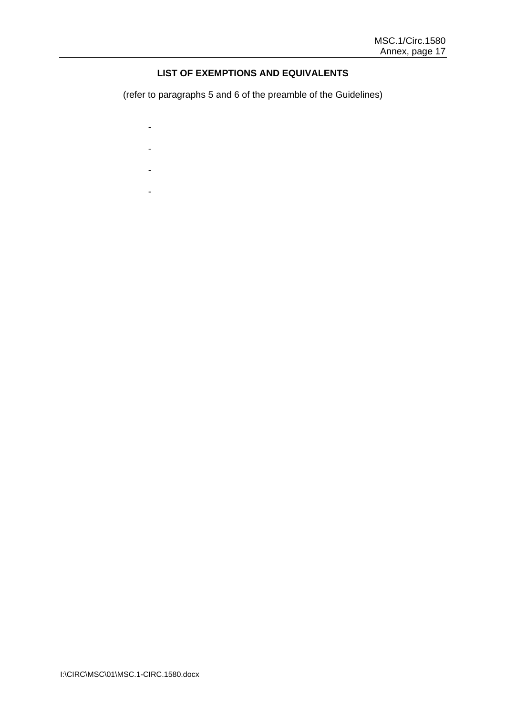## **LIST OF EXEMPTIONS AND EQUIVALENTS**

(refer to paragraphs 5 and 6 of the preamble of the Guidelines)

- -
- - -
- -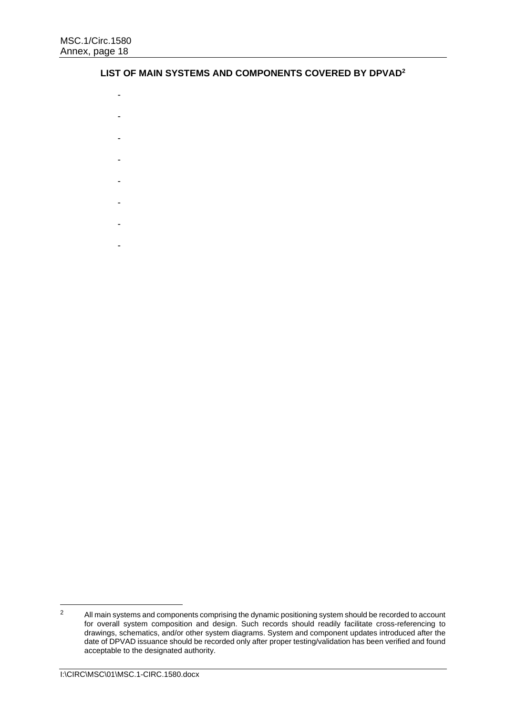#### **LIST OF MAIN SYSTEMS AND COMPONENTS COVERED BY DPVAD<sup>2</sup>**

- -
- -
- 
- -
- -
- 
- -
- -
- 
- -
- -

 $\overline{2}$ All main systems and components comprising the dynamic positioning system should be recorded to account for overall system composition and design. Such records should readily facilitate cross-referencing to drawings, schematics, and/or other system diagrams. System and component updates introduced after the date of DPVAD issuance should be recorded only after proper testing/validation has been verified and found acceptable to the designated authority.